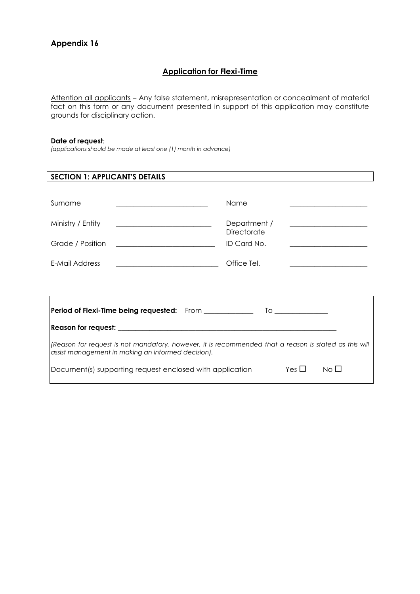## **Application for Flexi-Time**

Attention all applicants – Any false statement, misrepresentation or concealment of material fact on this form or any document presented in support of this application may constitute grounds for disciplinary action.

#### **Date of request***: \_\_\_\_\_\_\_\_\_\_\_\_\_\_\_\_\_*

*(applications should be made at least one (1) month in advance)*

| <b>SECTION 1: APPLICANT'S DETAILS</b>                                                                                                                       |                                                                                                                                      |  |  |  |
|-------------------------------------------------------------------------------------------------------------------------------------------------------------|--------------------------------------------------------------------------------------------------------------------------------------|--|--|--|
|                                                                                                                                                             |                                                                                                                                      |  |  |  |
| Surname<br><u> Andreas Andreas Andreas Andreas Andreas Andreas Andreas Andreas Andreas Andreas Andreas Andreas Andreas Andr</u>                             | Name                                                                                                                                 |  |  |  |
| Ministry / Entity<br><u> Alexandria de la contrada de la contrada de la contrada de la contrada de la contrada de la contrada de la c</u>                   | Department /<br><b>Directorate</b>                                                                                                   |  |  |  |
| Grade / Position<br><u> 1989 - Johann John Stein, fransk politik (</u>                                                                                      | ID Card No.<br><u> 1980 - Johann Barbara, martin amerikan basar dan berasal dalam basar dalam basar dalam basar dalam basar dala</u> |  |  |  |
| E-Mail Address<br><u> 2008 - Jan Barnett, fransk politik (d. 18</u>                                                                                         | Office Tel.                                                                                                                          |  |  |  |
|                                                                                                                                                             |                                                                                                                                      |  |  |  |
|                                                                                                                                                             |                                                                                                                                      |  |  |  |
|                                                                                                                                                             |                                                                                                                                      |  |  |  |
| (Reason for request is not mandatory, however, it is recommended that a reason is stated as this will<br>assist management in making an informed decision). |                                                                                                                                      |  |  |  |
| Yes $\square$<br>Document(s) supporting request enclosed with application<br>No LI                                                                          |                                                                                                                                      |  |  |  |